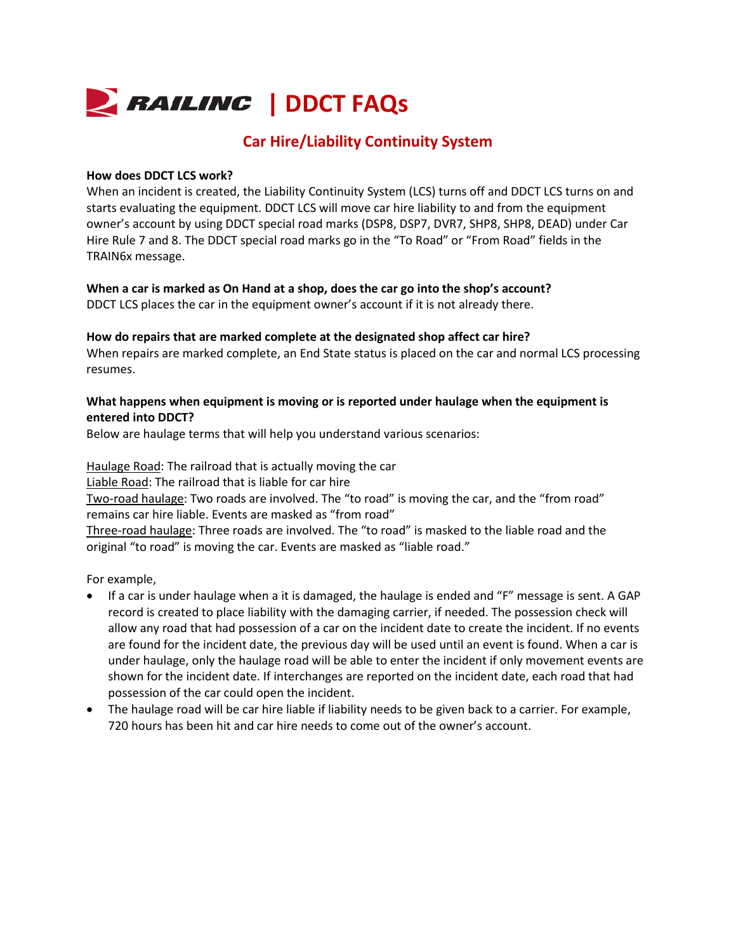

# **Car Hire/Liability Continuity System**

#### **How does DDCT LCS work?**

When an incident is created, the Liability Continuity System (LCS) turns off and DDCT LCS turns on and starts evaluating the equipment. DDCT LCS will move car hire liability to and from the equipment owner's account by using DDCT special road marks (DSP8, DSP7, DVR7, SHP8, SHP8, DEAD) under Car Hire Rule 7 and 8. The DDCT special road marks go in the "To Road" or "From Road" fields in the TRAIN6x message.

**When a car is marked as On Hand at a shop, does the car go into the shop's account?**  DDCT LCS places the car in the equipment owner's account if it is not already there.

#### **How do repairs that are marked complete at the designated shop affect car hire?**

When repairs are marked complete, an End State status is placed on the car and normal LCS processing resumes.

#### **What happens when equipment is moving or is reported under haulage when the equipment is entered into DDCT?**

Below are haulage terms that will help you understand various scenarios:

Haulage Road: The railroad that is actually moving the car Liable Road: The railroad that is liable for car hire Two-road haulage: Two roads are involved. The "to road" is moving the car, and the "from road" remains car hire liable. Events are masked as "from road" Three-road haulage: Three roads are involved. The "to road" is masked to the liable road and the original "to road" is moving the car. Events are masked as "liable road."

For example,

- If a car is under haulage when a it is damaged, the haulage is ended and "F" message is sent. A GAP record is created to place liability with the damaging carrier, if needed. The possession check will allow any road that had possession of a car on the incident date to create the incident. If no events are found for the incident date, the previous day will be used until an event is found. When a car is under haulage, only the haulage road will be able to enter the incident if only movement events are shown for the incident date. If interchanges are reported on the incident date, each road that had possession of the car could open the incident.
- The haulage road will be car hire liable if liability needs to be given back to a carrier. For example, 720 hours has been hit and car hire needs to come out of the owner's account.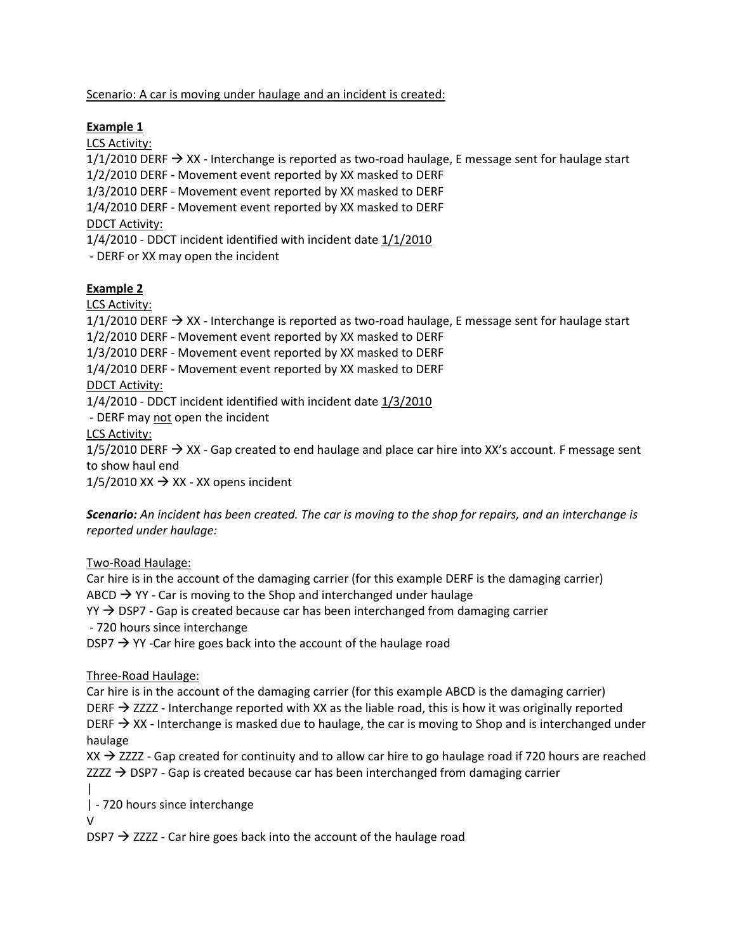Scenario: A car is moving under haulage and an incident is created:

# **Example 1**

LCS Activity:

 $1/1/2010$  DERF  $\rightarrow$  XX - Interchange is reported as two-road haulage, E message sent for haulage start

1/2/2010 DERF - Movement event reported by XX masked to DERF

1/3/2010 DERF - Movement event reported by XX masked to DERF

1/4/2010 DERF - Movement event reported by XX masked to DERF

DDCT Activity:

1/4/2010 - DDCT incident identified with incident date 1/1/2010

- DERF or XX may open the incident

# **Example 2**

LCS Activity:

 $1/1/2010$  DERF  $\rightarrow$  XX - Interchange is reported as two-road haulage, E message sent for haulage start

1/2/2010 DERF - Movement event reported by XX masked to DERF

1/3/2010 DERF - Movement event reported by XX masked to DERF

1/4/2010 DERF - Movement event reported by XX masked to DERF

DDCT Activity:

1/4/2010 - DDCT incident identified with incident date 1/3/2010

- DERF may not open the incident

LCS Activity:

 $1/5/2010$  DERF  $\rightarrow$  XX - Gap created to end haulage and place car hire into XX's account. F message sent to show haul end

 $1/5/2010$  XX  $\rightarrow$  XX - XX opens incident

*Scenario: An incident has been created. The car is moving to the shop for repairs, and an interchange is reported under haulage:*

Two-Road Haulage:

Car hire is in the account of the damaging carrier (for this example DERF is the damaging carrier) ABCD  $\rightarrow$  YY - Car is moving to the Shop and interchanged under haulage  $YY \rightarrow$  DSP7 - Gap is created because car has been interchanged from damaging carrier - 720 hours since interchange  $DSP7 \rightarrow YY$  -Car hire goes back into the account of the haulage road

Three-Road Haulage:

Car hire is in the account of the damaging carrier (for this example ABCD is the damaging carrier) DERF  $\rightarrow$  ZZZZ - Interchange reported with XX as the liable road, this is how it was originally reported DERF  $\rightarrow$  XX - Interchange is masked due to haulage, the car is moving to Shop and is interchanged under haulage

 $XX \rightarrow ZZZZ$  - Gap created for continuity and to allow car hire to go haulage road if 720 hours are reached  $ZZZZ \rightarrow$  DSP7 - Gap is created because car has been interchanged from damaging carrier

| | - 720 hours since interchange

V

 $DSP7 \rightarrow ZZZZ$  - Car hire goes back into the account of the haulage road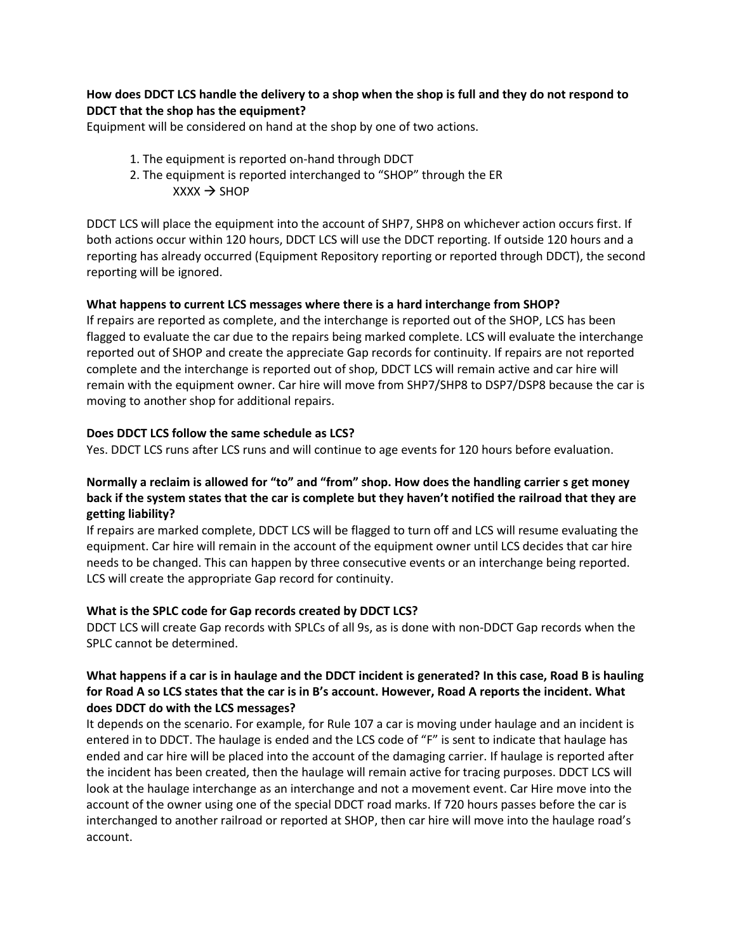#### **How does DDCT LCS handle the delivery to a shop when the shop is full and they do not respond to DDCT that the shop has the equipment?**

Equipment will be considered on hand at the shop by one of two actions.

- 1. The equipment is reported on-hand through DDCT
- 2. The equipment is reported interchanged to "SHOP" through the ER  $XXX \rightarrow SHOP$

DDCT LCS will place the equipment into the account of SHP7, SHP8 on whichever action occurs first. If both actions occur within 120 hours, DDCT LCS will use the DDCT reporting. If outside 120 hours and a reporting has already occurred (Equipment Repository reporting or reported through DDCT), the second reporting will be ignored.

#### **What happens to current LCS messages where there is a hard interchange from SHOP?**

If repairs are reported as complete, and the interchange is reported out of the SHOP, LCS has been flagged to evaluate the car due to the repairs being marked complete. LCS will evaluate the interchange reported out of SHOP and create the appreciate Gap records for continuity. If repairs are not reported complete and the interchange is reported out of shop, DDCT LCS will remain active and car hire will remain with the equipment owner. Car hire will move from SHP7/SHP8 to DSP7/DSP8 because the car is moving to another shop for additional repairs.

#### **Does DDCT LCS follow the same schedule as LCS?**

Yes. DDCT LCS runs after LCS runs and will continue to age events for 120 hours before evaluation.

#### **Normally a reclaim is allowed for "to" and "from" shop. How does the handling carrier s get money back if the system states that the car is complete but they haven't notified the railroad that they are getting liability?**

If repairs are marked complete, DDCT LCS will be flagged to turn off and LCS will resume evaluating the equipment. Car hire will remain in the account of the equipment owner until LCS decides that car hire needs to be changed. This can happen by three consecutive events or an interchange being reported. LCS will create the appropriate Gap record for continuity.

#### **What is the SPLC code for Gap records created by DDCT LCS?**

DDCT LCS will create Gap records with SPLCs of all 9s, as is done with non-DDCT Gap records when the SPLC cannot be determined.

# **What happens if a car is in haulage and the DDCT incident is generated? In this case, Road B is hauling for Road A so LCS states that the car is in B's account. However, Road A reports the incident. What does DDCT do with the LCS messages?**

It depends on the scenario. For example, for Rule 107 a car is moving under haulage and an incident is entered in to DDCT. The haulage is ended and the LCS code of "F" is sent to indicate that haulage has ended and car hire will be placed into the account of the damaging carrier. If haulage is reported after the incident has been created, then the haulage will remain active for tracing purposes. DDCT LCS will look at the haulage interchange as an interchange and not a movement event. Car Hire move into the account of the owner using one of the special DDCT road marks. If 720 hours passes before the car is interchanged to another railroad or reported at SHOP, then car hire will move into the haulage road's account.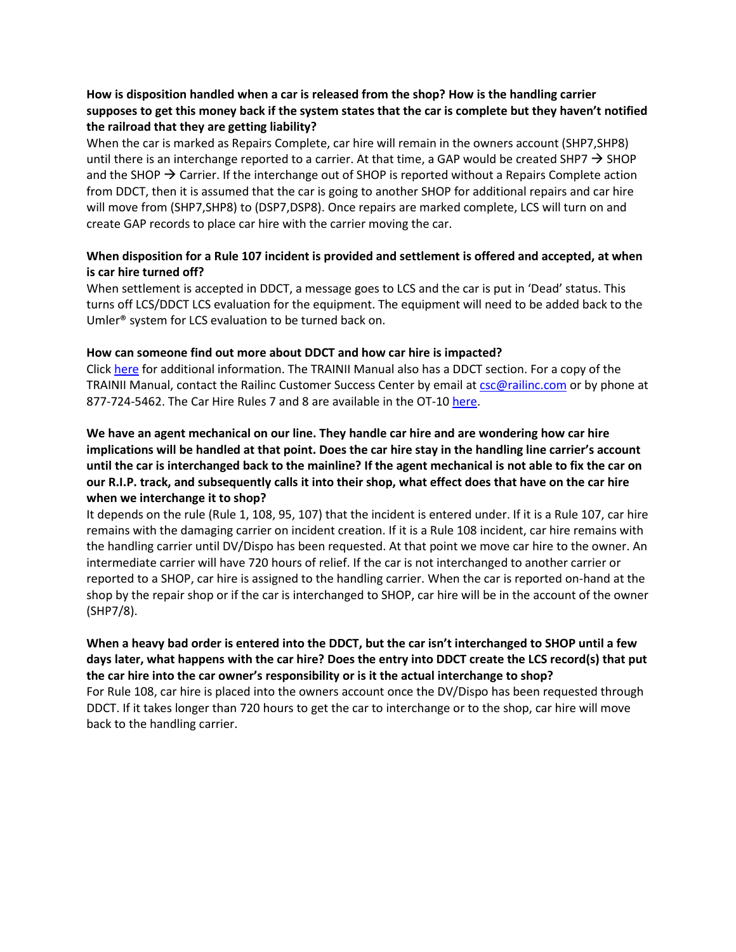# **How is disposition handled when a car is released from the shop? How is the handling carrier supposes to get this money back if the system states that the car is complete but they haven't notified the railroad that they are getting liability?**

When the car is marked as Repairs Complete, car hire will remain in the owners account (SHP7,SHP8) until there is an interchange reported to a carrier. At that time, a GAP would be created SHP7  $\rightarrow$  SHOP and the SHOP  $\rightarrow$  Carrier. If the interchange out of SHOP is reported without a Repairs Complete action from DDCT, then it is assumed that the car is going to another SHOP for additional repairs and car hire will move from (SHP7,SHP8) to (DSP7,DSP8). Once repairs are marked complete, LCS will turn on and create GAP records to place car hire with the carrier moving the car.

# **When disposition for a Rule 107 incident is provided and settlement is offered and accepted, at when is car hire turned off?**

When settlement is accepted in DDCT, a message goes to LCS and the car is put in 'Dead' status. This turns off LCS/DDCT LCS evaluation for the equipment. The equipment will need to be added back to the Umler® system for LCS evaluation to be turned back on.

## **How can someone find out more about DDCT and how car hire is impacted?**

Click [here](https://www.railinc.com/rportal/alf_docs/DDCT/DDCTCarHire.pdf) for additional information. The TRAINII Manual also has a DDCT section. For a copy of the TRAINII Manual, contact the Railinc Customer Success Center by email at [csc@railinc.com](mailto:csc@railinc.com) or by phone at 877-724-5462. The Car Hire Rules 7 and 8 are available in the OT-10 [here.](https://www.railinc.com/rportal/web/guest/aar-circulars)

**We have an agent mechanical on our line. They handle car hire and are wondering how car hire implications will be handled at that point. Does the car hire stay in the handling line carrier's account until the car is interchanged back to the mainline? If the agent mechanical is not able to fix the car on our R.I.P. track, and subsequently calls it into their shop, what effect does that have on the car hire when we interchange it to shop?**

It depends on the rule (Rule 1, 108, 95, 107) that the incident is entered under. If it is a Rule 107, car hire remains with the damaging carrier on incident creation. If it is a Rule 108 incident, car hire remains with the handling carrier until DV/Dispo has been requested. At that point we move car hire to the owner. An intermediate carrier will have 720 hours of relief. If the car is not interchanged to another carrier or reported to a SHOP, car hire is assigned to the handling carrier. When the car is reported on-hand at the shop by the repair shop or if the car is interchanged to SHOP, car hire will be in the account of the owner (SHP7/8).

# **When a heavy bad order is entered into the DDCT, but the car isn't interchanged to SHOP until a few days later, what happens with the car hire? Does the entry into DDCT create the LCS record(s) that put the car hire into the car owner's responsibility or is it the actual interchange to shop?**

For Rule 108, car hire is placed into the owners account once the DV/Dispo has been requested through DDCT. If it takes longer than 720 hours to get the car to interchange or to the shop, car hire will move back to the handling carrier.